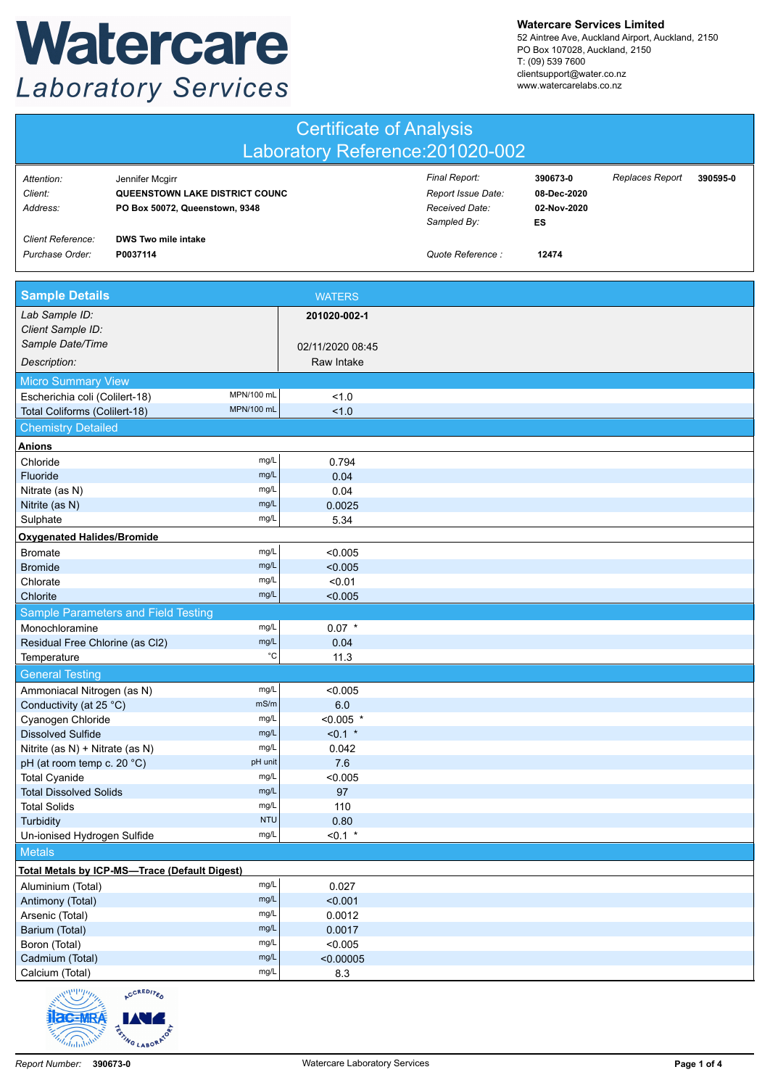## Watercare **Laboratory Services**

**Watercare Services Limited**

52 Aintree Ave, Auckland Airport, Auckland, 2150 PO Box 107028, Auckland, 2150 T: (09) 539 7600 clientsupport@water.co.nz www.watercarelabs.co.nz

| <b>Certificate of Analysis</b>                |                                                                                            |                    |                    |                                                                      |                                              |                 |          |
|-----------------------------------------------|--------------------------------------------------------------------------------------------|--------------------|--------------------|----------------------------------------------------------------------|----------------------------------------------|-----------------|----------|
| Laboratory Reference: 201020-002              |                                                                                            |                    |                    |                                                                      |                                              |                 |          |
| Attention:<br>Client:<br>Address:             | Jennifer Mcgirr<br><b>QUEENSTOWN LAKE DISTRICT COUNC</b><br>PO Box 50072, Queenstown, 9348 |                    |                    | Final Report:<br>Report Issue Date:<br>Received Date:<br>Sampled By: | 390673-0<br>08-Dec-2020<br>02-Nov-2020<br>ES | Replaces Report | 390595-0 |
| <b>Client Reference:</b><br>Purchase Order:   | <b>DWS Two mile intake</b><br>P0037114                                                     |                    |                    | Quote Reference :                                                    | 12474                                        |                 |          |
| <b>Sample Details</b>                         |                                                                                            |                    | <b>WATERS</b>      |                                                                      |                                              |                 |          |
| Lab Sample ID:<br>Client Sample ID:           |                                                                                            |                    | 201020-002-1       |                                                                      |                                              |                 |          |
| Sample Date/Time                              |                                                                                            |                    | 02/11/2020 08:45   |                                                                      |                                              |                 |          |
| Description:                                  |                                                                                            |                    | Raw Intake         |                                                                      |                                              |                 |          |
| <b>Micro Summary View</b>                     |                                                                                            |                    |                    |                                                                      |                                              |                 |          |
| Escherichia coli (Colilert-18)                | MPN/100 mL                                                                                 |                    | 1.0                |                                                                      |                                              |                 |          |
| Total Coliforms (Colilert-18)                 | MPN/100 mL                                                                                 |                    | 1.0                |                                                                      |                                              |                 |          |
| <b>Chemistry Detailed</b>                     |                                                                                            |                    |                    |                                                                      |                                              |                 |          |
| <b>Anions</b>                                 |                                                                                            |                    |                    |                                                                      |                                              |                 |          |
| Chloride                                      |                                                                                            | mg/L               | 0.794              |                                                                      |                                              |                 |          |
| Fluoride                                      |                                                                                            | mg/L               | 0.04               |                                                                      |                                              |                 |          |
| Nitrate (as N)                                |                                                                                            | mg/L<br>mg/L       | 0.04               |                                                                      |                                              |                 |          |
| Nitrite (as N)<br>Sulphate                    |                                                                                            | mg/L               | 0.0025<br>5.34     |                                                                      |                                              |                 |          |
| <b>Oxygenated Halides/Bromide</b>             |                                                                                            |                    |                    |                                                                      |                                              |                 |          |
| <b>Bromate</b>                                |                                                                                            | mg/L               | < 0.005            |                                                                      |                                              |                 |          |
| <b>Bromide</b>                                |                                                                                            | mg/L               | < 0.005            |                                                                      |                                              |                 |          |
| Chlorate                                      |                                                                                            | mg/L               | < 0.01             |                                                                      |                                              |                 |          |
| Chlorite                                      |                                                                                            | mg/L               | < 0.005            |                                                                      |                                              |                 |          |
|                                               | Sample Parameters and Field Testing                                                        |                    |                    |                                                                      |                                              |                 |          |
| Monochloramine                                |                                                                                            | mg/L               | $0.07$ *           |                                                                      |                                              |                 |          |
| Residual Free Chlorine (as Cl2)               |                                                                                            | mg/L               | 0.04               |                                                                      |                                              |                 |          |
| Temperature                                   |                                                                                            | $^{\circ}{\rm C}$  | 11.3               |                                                                      |                                              |                 |          |
| <b>General Testing</b>                        |                                                                                            |                    |                    |                                                                      |                                              |                 |          |
| Ammoniacal Nitrogen (as N)                    |                                                                                            | mg/L               | < 0.005            |                                                                      |                                              |                 |          |
| Conductivity (at 25 °C)                       |                                                                                            | mS/m<br>mg/L       | 6.0<br>$< 0.005$ * |                                                                      |                                              |                 |          |
| Cyanogen Chloride<br><b>Dissolved Sulfide</b> |                                                                                            | mg/L               | $< 0.1$ *          |                                                                      |                                              |                 |          |
| Nitrite (as N) + Nitrate (as N)               |                                                                                            | mg/L               | 0.042              |                                                                      |                                              |                 |          |
| pH (at room temp c. 20 °C)                    |                                                                                            | pH unit            | 7.6                |                                                                      |                                              |                 |          |
| <b>Total Cyanide</b>                          |                                                                                            | mg/L               | < 0.005            |                                                                      |                                              |                 |          |
| <b>Total Dissolved Solids</b>                 |                                                                                            | mg/L               | 97                 |                                                                      |                                              |                 |          |
| <b>Total Solids</b>                           |                                                                                            | mg/L<br><b>NTU</b> | 110                |                                                                      |                                              |                 |          |
| Turbidity<br>Un-ionised Hydrogen Sulfide      |                                                                                            | mg/L               | 0.80<br>$< 0.1$ *  |                                                                      |                                              |                 |          |
|                                               |                                                                                            |                    |                    |                                                                      |                                              |                 |          |
| <b>Metals</b>                                 |                                                                                            |                    |                    |                                                                      |                                              |                 |          |
|                                               | <b>Total Metals by ICP-MS-Trace (Default Digest)</b>                                       | mg/L               | 0.027              |                                                                      |                                              |                 |          |
| Aluminium (Total)<br>Antimony (Total)         |                                                                                            | mg/L               | < 0.001            |                                                                      |                                              |                 |          |
| Arsenic (Total)                               |                                                                                            | mg/L               | 0.0012             |                                                                      |                                              |                 |          |
| Barium (Total)                                |                                                                                            | mg/L               | 0.0017             |                                                                      |                                              |                 |          |
| Boron (Total)                                 |                                                                                            | mg/L               | < 0.005            |                                                                      |                                              |                 |          |
| Cadmium (Total)                               |                                                                                            | mg/L               | < 0.00005          |                                                                      |                                              |                 |          |
| Calcium (Total)<br>$\frac{1}{1}$              |                                                                                            | mg/L               | 8.3                |                                                                      |                                              |                 |          |

 $r_{\varepsilon_{\Lambda}}$ **RSTING LABORATO**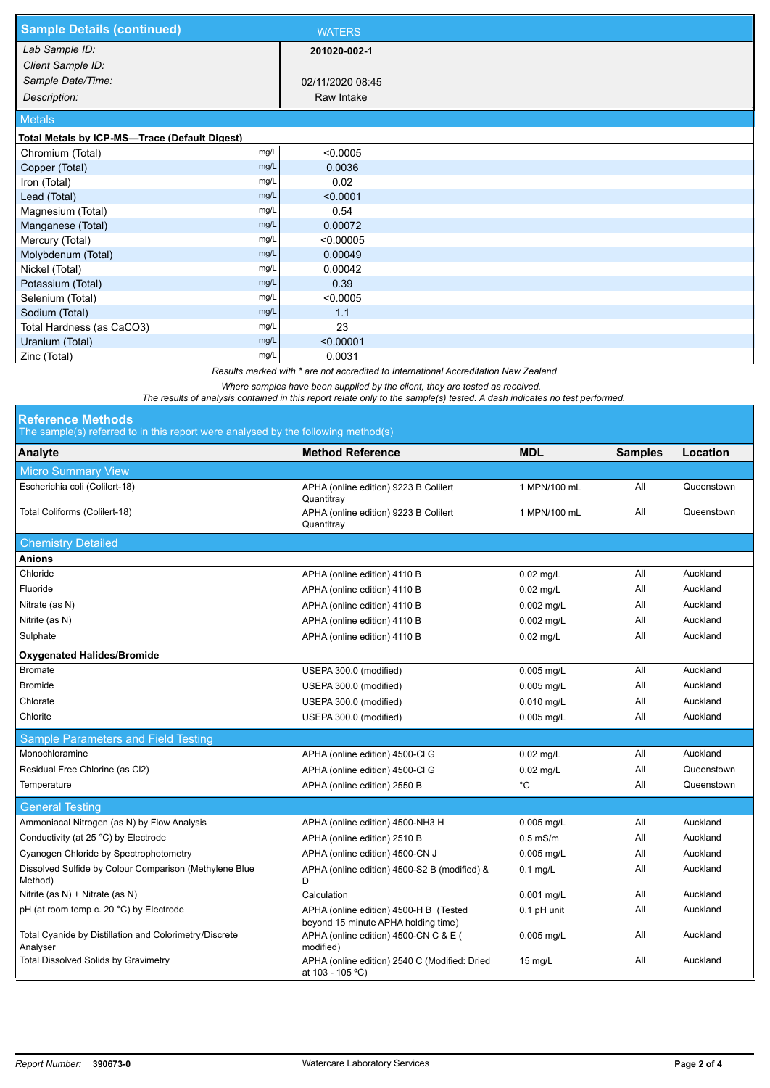| <b>Sample Details (continued)</b>                                                                                         | <b>WATERS</b>    |  |  |  |  |
|---------------------------------------------------------------------------------------------------------------------------|------------------|--|--|--|--|
| Lab Sample ID:                                                                                                            | 201020-002-1     |  |  |  |  |
| Client Sample ID:                                                                                                         |                  |  |  |  |  |
| Sample Date/Time:                                                                                                         | 02/11/2020 08:45 |  |  |  |  |
| Description:                                                                                                              | Raw Intake       |  |  |  |  |
| <b>Metals</b>                                                                                                             |                  |  |  |  |  |
| Total Metals by ICP-MS-Trace (Default Digest)                                                                             |                  |  |  |  |  |
| mg/L<br>Chromium (Total)                                                                                                  | < 0.0005         |  |  |  |  |
| mg/L<br>Copper (Total)                                                                                                    | 0.0036           |  |  |  |  |
| mg/L<br>Iron (Total)                                                                                                      | 0.02             |  |  |  |  |
| mg/L<br>Lead (Total)                                                                                                      | < 0.0001         |  |  |  |  |
| mg/L<br>Magnesium (Total)                                                                                                 | 0.54             |  |  |  |  |
| mg/L<br>Manganese (Total)                                                                                                 | 0.00072          |  |  |  |  |
| mg/L<br>Mercury (Total)                                                                                                   | < 0.00005        |  |  |  |  |
| Molybdenum (Total)<br>mg/L                                                                                                | 0.00049          |  |  |  |  |
| mg/L<br>Nickel (Total)                                                                                                    | 0.00042          |  |  |  |  |
| mg/L<br>Potassium (Total)                                                                                                 | 0.39             |  |  |  |  |
| Selenium (Total)<br>mg/L                                                                                                  | < 0.0005         |  |  |  |  |
| mg/L<br>Sodium (Total)                                                                                                    | 1.1              |  |  |  |  |
| Total Hardness (as CaCO3)<br>mg/L                                                                                         | 23               |  |  |  |  |
| mg/L<br>Uranium (Total)                                                                                                   | < 0.00001        |  |  |  |  |
| mg/L<br>Zinc (Total)                                                                                                      | 0.0031           |  |  |  |  |
| Results marked with * are not accredited to International Accreditation New Zealand                                       |                  |  |  |  |  |
| Where samples have been supplied by the client, they are tested as received.                                              |                  |  |  |  |  |
| The results of analysis contained in this report relate only to the sample(s) tested. A dash indicates no test performed. |                  |  |  |  |  |
| <b>Reference Methods</b>                                                                                                  |                  |  |  |  |  |

The sample(s) referred to in this report were analysed by the following method(s)

| The administration control to the three report were differed by the following method (a) |                                                                               |              |                |            |  |  |
|------------------------------------------------------------------------------------------|-------------------------------------------------------------------------------|--------------|----------------|------------|--|--|
| Analyte                                                                                  | <b>Method Reference</b>                                                       | <b>MDL</b>   | <b>Samples</b> | Location   |  |  |
| <b>Micro Summary View</b>                                                                |                                                                               |              |                |            |  |  |
| Escherichia coli (Colilert-18)                                                           | APHA (online edition) 9223 B Colilert<br>Quantitray                           | 1 MPN/100 mL | All            | Queenstown |  |  |
| Total Coliforms (Colilert-18)                                                            | APHA (online edition) 9223 B Colilert<br>Quantitray                           | 1 MPN/100 mL | All            | Queenstown |  |  |
| <b>Chemistry Detailed</b>                                                                |                                                                               |              |                |            |  |  |
| Anions                                                                                   |                                                                               |              |                |            |  |  |
| Chloride                                                                                 | APHA (online edition) 4110 B                                                  | 0.02 mg/L    | All            | Auckland   |  |  |
| Fluoride                                                                                 | APHA (online edition) 4110 B                                                  | $0.02$ mg/L  | All            | Auckland   |  |  |
| Nitrate (as N)                                                                           | APHA (online edition) 4110 B                                                  | $0.002$ mg/L | All            | Auckland   |  |  |
| Nitrite (as N)                                                                           | APHA (online edition) 4110 B                                                  | 0.002 mg/L   | All            | Auckland   |  |  |
| Sulphate                                                                                 | APHA (online edition) 4110 B                                                  | $0.02$ mg/L  | All            | Auckland   |  |  |
| <b>Oxygenated Halides/Bromide</b>                                                        |                                                                               |              |                |            |  |  |
| <b>Bromate</b>                                                                           | USEPA 300.0 (modified)                                                        | 0.005 mg/L   | All            | Auckland   |  |  |
| <b>Bromide</b>                                                                           | USEPA 300.0 (modified)                                                        | 0.005 mg/L   | All            | Auckland   |  |  |
| Chlorate                                                                                 | USEPA 300.0 (modified)                                                        | 0.010 mg/L   | ail            | Auckland   |  |  |
| Chlorite                                                                                 | USEPA 300.0 (modified)                                                        | 0.005 mg/L   | All            | Auckland   |  |  |
| Sample Parameters and Field Testing                                                      |                                                                               |              |                |            |  |  |
| Monochloramine                                                                           | APHA (online edition) 4500-Cl G                                               | $0.02$ mg/L  | All            | Auckland   |  |  |
| Residual Free Chlorine (as Cl2)                                                          | APHA (online edition) 4500-Cl G                                               | $0.02$ mg/L  | All            | Queenstown |  |  |
| Temperature                                                                              | APHA (online edition) 2550 B                                                  | $^{\circ}$ C | All            | Queenstown |  |  |
| <b>General Testing</b>                                                                   |                                                                               |              |                |            |  |  |
| Ammoniacal Nitrogen (as N) by Flow Analysis                                              | APHA (online edition) 4500-NH3 H                                              | 0.005 mg/L   | All            | Auckland   |  |  |
| Conductivity (at 25 °C) by Electrode                                                     | APHA (online edition) 2510 B                                                  | $0.5$ mS/m   | All            | Auckland   |  |  |
| Cyanogen Chloride by Spectrophotometry                                                   | APHA (online edition) 4500-CN J                                               | 0.005 mg/L   | All            | Auckland   |  |  |
| Dissolved Sulfide by Colour Comparison (Methylene Blue<br>Method)                        | APHA (online edition) 4500-S2 B (modified) &<br>D                             | $0.1$ mg/L   | All            | Auckland   |  |  |
| Nitrite (as N) + Nitrate (as N)                                                          | Calculation                                                                   | 0.001 mg/L   | All            | Auckland   |  |  |
| pH (at room temp c. 20 °C) by Electrode                                                  | APHA (online edition) 4500-H B (Tested<br>beyond 15 minute APHA holding time) | 0.1 pH unit  | All            | Auckland   |  |  |
| Total Cyanide by Distillation and Colorimetry/Discrete<br>Analyser                       | APHA (online edition) 4500-CN C & E (<br>modified)                            | 0.005 mg/L   | All            | Auckland   |  |  |
| <b>Total Dissolved Solids by Gravimetry</b>                                              | APHA (online edition) 2540 C (Modified: Dried<br>at 103 - 105 °C)             | 15 mg/L      | All            | Auckland   |  |  |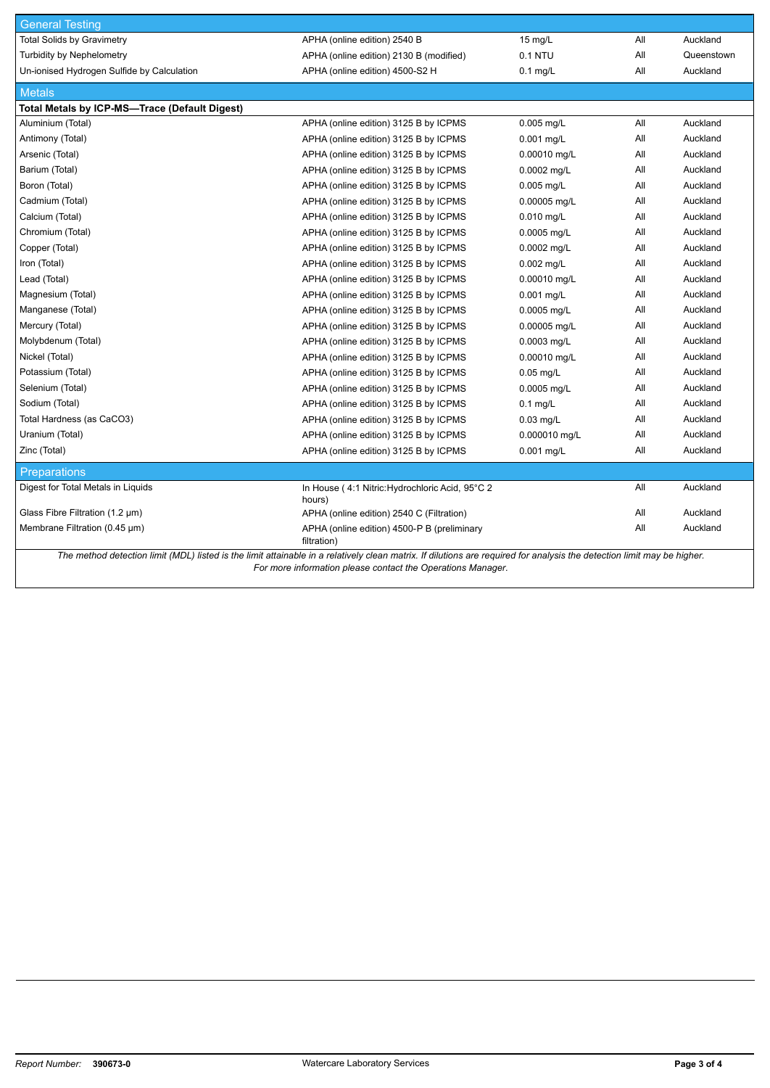| <b>General Testing</b>                                                                                                                                                  |                                                            |               |     |            |  |  |
|-------------------------------------------------------------------------------------------------------------------------------------------------------------------------|------------------------------------------------------------|---------------|-----|------------|--|--|
| <b>Total Solids by Gravimetry</b>                                                                                                                                       | APHA (online edition) 2540 B                               | 15 mg/L       | All | Auckland   |  |  |
| <b>Turbidity by Nephelometry</b>                                                                                                                                        | APHA (online edition) 2130 B (modified)                    | 0.1 NTU       | All | Queenstown |  |  |
| Un-ionised Hydrogen Sulfide by Calculation                                                                                                                              | APHA (online edition) 4500-S2 H                            | $0.1$ mg/L    | All | Auckland   |  |  |
| <b>Metals</b>                                                                                                                                                           |                                                            |               |     |            |  |  |
| Total Metals by ICP-MS-Trace (Default Digest)                                                                                                                           |                                                            |               |     |            |  |  |
| Aluminium (Total)                                                                                                                                                       | APHA (online edition) 3125 B by ICPMS                      | 0.005 mg/L    | All | Auckland   |  |  |
| Antimony (Total)                                                                                                                                                        | APHA (online edition) 3125 B by ICPMS                      | 0.001 mg/L    | All | Auckland   |  |  |
| Arsenic (Total)                                                                                                                                                         | APHA (online edition) 3125 B by ICPMS                      | 0.00010 mg/L  | All | Auckland   |  |  |
| Barium (Total)                                                                                                                                                          | APHA (online edition) 3125 B by ICPMS                      | 0.0002 mg/L   | All | Auckland   |  |  |
| Boron (Total)                                                                                                                                                           | APHA (online edition) 3125 B by ICPMS                      | $0.005$ mg/L  | All | Auckland   |  |  |
| Cadmium (Total)                                                                                                                                                         | APHA (online edition) 3125 B by ICPMS                      | 0.00005 mg/L  | All | Auckland   |  |  |
| Calcium (Total)                                                                                                                                                         | APHA (online edition) 3125 B by ICPMS                      | $0.010$ mg/L  | All | Auckland   |  |  |
| Chromium (Total)                                                                                                                                                        | APHA (online edition) 3125 B by ICPMS                      | 0.0005 mg/L   | All | Auckland   |  |  |
| Copper (Total)                                                                                                                                                          | APHA (online edition) 3125 B by ICPMS                      | 0.0002 mg/L   | All | Auckland   |  |  |
| Iron (Total)                                                                                                                                                            | APHA (online edition) 3125 B by ICPMS                      | 0.002 mg/L    | All | Auckland   |  |  |
| Lead (Total)                                                                                                                                                            | APHA (online edition) 3125 B by ICPMS                      | 0.00010 mg/L  | All | Auckland   |  |  |
| Magnesium (Total)                                                                                                                                                       | APHA (online edition) 3125 B by ICPMS                      | 0.001 mg/L    | All | Auckland   |  |  |
| Manganese (Total)                                                                                                                                                       | APHA (online edition) 3125 B by ICPMS                      | 0.0005 mg/L   | All | Auckland   |  |  |
| Mercury (Total)                                                                                                                                                         | APHA (online edition) 3125 B by ICPMS                      | 0.00005 mg/L  | All | Auckland   |  |  |
| Molybdenum (Total)                                                                                                                                                      | APHA (online edition) 3125 B by ICPMS                      | 0.0003 mg/L   | All | Auckland   |  |  |
| Nickel (Total)                                                                                                                                                          | APHA (online edition) 3125 B by ICPMS                      | 0.00010 mg/L  | All | Auckland   |  |  |
| Potassium (Total)                                                                                                                                                       | APHA (online edition) 3125 B by ICPMS                      | $0.05$ mg/L   | All | Auckland   |  |  |
| Selenium (Total)                                                                                                                                                        | APHA (online edition) 3125 B by ICPMS                      | 0.0005 mg/L   | All | Auckland   |  |  |
| Sodium (Total)                                                                                                                                                          | APHA (online edition) 3125 B by ICPMS                      | $0.1$ mg/L    | All | Auckland   |  |  |
| Total Hardness (as CaCO3)                                                                                                                                               | APHA (online edition) 3125 B by ICPMS                      | $0.03$ mg/L   | All | Auckland   |  |  |
| Uranium (Total)                                                                                                                                                         | APHA (online edition) 3125 B by ICPMS                      | 0.000010 mg/L | All | Auckland   |  |  |
| Zinc (Total)                                                                                                                                                            | APHA (online edition) 3125 B by ICPMS                      | $0.001$ mg/L  | All | Auckland   |  |  |
| <b>Preparations</b>                                                                                                                                                     |                                                            |               |     |            |  |  |
| Digest for Total Metals in Liquids                                                                                                                                      | In House (4:1 Nitric: Hydrochloric Acid, 95°C 2<br>hours)  |               | All | Auckland   |  |  |
| Glass Fibre Filtration $(1.2 \mu m)$                                                                                                                                    | APHA (online edition) 2540 C (Filtration)                  |               | All | Auckland   |  |  |
| Membrane Filtration (0.45 µm)                                                                                                                                           | APHA (online edition) 4500-P B (preliminary<br>filtration) |               | All | Auckland   |  |  |
| The method detection limit (MDL) listed is the limit attainable in a relatively clean matrix. If dilutions are required for analysis the detection limit may be higher. |                                                            |               |     |            |  |  |

*For more information please contact the Operations Manager.*